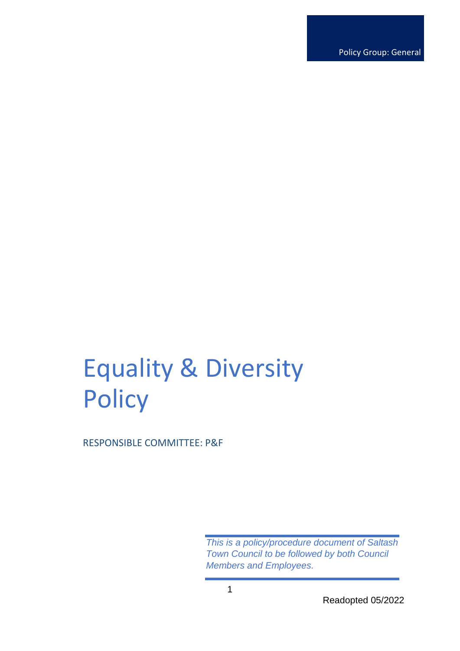Policy Group: General

# Equality & Diversity **Policy**

RESPONSIBLE COMMITTEE: P&F

*This is a policy/procedure document of Saltash Town Council to be followed by both Council Members and Employees.*

Readopted 05/2022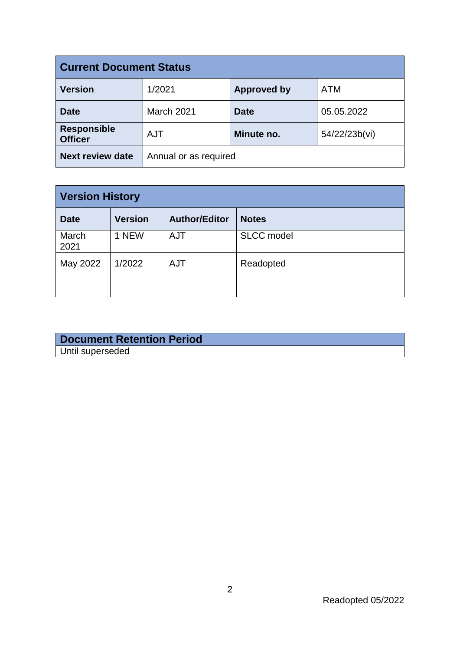| <b>Current Document Status</b>       |                       |                    |               |  |  |
|--------------------------------------|-----------------------|--------------------|---------------|--|--|
| <b>Version</b>                       | 1/2021                | <b>Approved by</b> | <b>ATM</b>    |  |  |
| <b>Date</b>                          | March 2021            | <b>Date</b>        | 05.05.2022    |  |  |
| <b>Responsible</b><br><b>Officer</b> | <b>AJT</b>            | Minute no.         | 54/22/23b(vi) |  |  |
| <b>Next review date</b>              | Annual or as required |                    |               |  |  |

| <b>Version History</b> |                |                      |                   |  |  |
|------------------------|----------------|----------------------|-------------------|--|--|
| <b>Date</b>            | <b>Version</b> | <b>Author/Editor</b> | <b>Notes</b>      |  |  |
| March<br>2021          | 1 NEW          | <b>AJT</b>           | <b>SLCC</b> model |  |  |
| May 2022               | 1/2022         | <b>AJT</b>           | Readopted         |  |  |
|                        |                |                      |                   |  |  |

|                  | <b>Document Retention Period</b> |  |
|------------------|----------------------------------|--|
| Until superseded |                                  |  |

Readopted 05/2022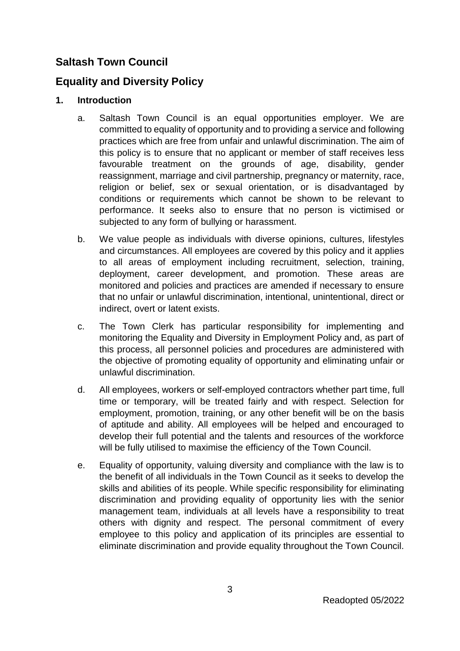# **Saltash Town Council**

## **Equality and Diversity Policy**

## **1. Introduction**

- a. Saltash Town Council is an equal opportunities employer. We are committed to equality of opportunity and to providing a service and following practices which are free from unfair and unlawful discrimination. The aim of this policy is to ensure that no applicant or member of staff receives less favourable treatment on the grounds of age, disability, gender reassignment, marriage and civil partnership, pregnancy or maternity, race, religion or belief, sex or sexual orientation, or is disadvantaged by conditions or requirements which cannot be shown to be relevant to performance. It seeks also to ensure that no person is victimised or subjected to any form of bullying or harassment.
- b. We value people as individuals with diverse opinions, cultures, lifestyles and circumstances. All employees are covered by this policy and it applies to all areas of employment including recruitment, selection, training, deployment, career development, and promotion. These areas are monitored and policies and practices are amended if necessary to ensure that no unfair or unlawful discrimination, intentional, unintentional, direct or indirect, overt or latent exists.
- c. The Town Clerk has particular responsibility for implementing and monitoring the Equality and Diversity in Employment Policy and, as part of this process, all personnel policies and procedures are administered with the objective of promoting equality of opportunity and eliminating unfair or unlawful discrimination.
- d. All employees, workers or self-employed contractors whether part time, full time or temporary, will be treated fairly and with respect. Selection for employment, promotion, training, or any other benefit will be on the basis of aptitude and ability. All employees will be helped and encouraged to develop their full potential and the talents and resources of the workforce will be fully utilised to maximise the efficiency of the Town Council.
- e. Equality of opportunity, valuing diversity and compliance with the law is to the benefit of all individuals in the Town Council as it seeks to develop the skills and abilities of its people. While specific responsibility for eliminating discrimination and providing equality of opportunity lies with the senior management team, individuals at all levels have a responsibility to treat others with dignity and respect. The personal commitment of every employee to this policy and application of its principles are essential to eliminate discrimination and provide equality throughout the Town Council.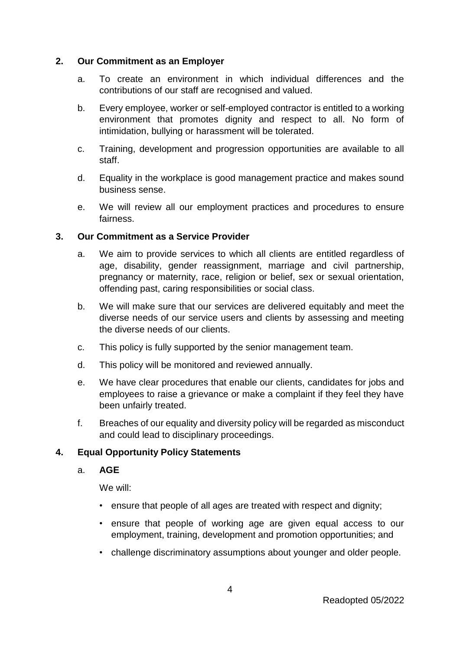### **2. Our Commitment as an Employer**

- a. To create an environment in which individual differences and the contributions of our staff are recognised and valued.
- b. Every employee, worker or self-employed contractor is entitled to a working environment that promotes dignity and respect to all. No form of intimidation, bullying or harassment will be tolerated.
- c. Training, development and progression opportunities are available to all staff.
- d. Equality in the workplace is good management practice and makes sound business sense.
- e. We will review all our employment practices and procedures to ensure fairness.

### **3. Our Commitment as a Service Provider**

- a. We aim to provide services to which all clients are entitled regardless of age, disability, gender reassignment, marriage and civil partnership, pregnancy or maternity, race, religion or belief, sex or sexual orientation, offending past, caring responsibilities or social class.
- b. We will make sure that our services are delivered equitably and meet the diverse needs of our service users and clients by assessing and meeting the diverse needs of our clients.
- c. This policy is fully supported by the senior management team.
- d. This policy will be monitored and reviewed annually.
- e. We have clear procedures that enable our clients, candidates for jobs and employees to raise a grievance or make a complaint if they feel they have been unfairly treated.
- f. Breaches of our equality and diversity policy will be regarded as misconduct and could lead to disciplinary proceedings.

## **4. Equal Opportunity Policy Statements**

a. **AGE**

We will:

- ensure that people of all ages are treated with respect and dignity;
- ensure that people of working age are given equal access to our employment, training, development and promotion opportunities; and
- challenge discriminatory assumptions about younger and older people.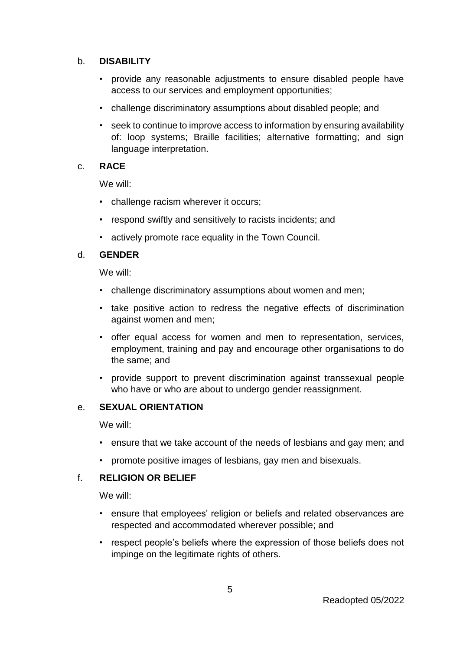#### b. **DISABILITY**

- provide any reasonable adjustments to ensure disabled people have access to our services and employment opportunities;
- challenge discriminatory assumptions about disabled people; and
- seek to continue to improve access to information by ensuring availability of: loop systems; Braille facilities; alternative formatting; and sign language interpretation.

#### c. **RACE**

We will:

- challenge racism wherever it occurs;
- respond swiftly and sensitively to racists incidents; and
- actively promote race equality in the Town Council.

#### d. **GENDER**

We will:

- challenge discriminatory assumptions about women and men;
- take positive action to redress the negative effects of discrimination against women and men;
- offer equal access for women and men to representation, services, employment, training and pay and encourage other organisations to do the same; and
- provide support to prevent discrimination against transsexual people who have or who are about to undergo gender reassignment.

#### e. **SEXUAL ORIENTATION**

We will:

- ensure that we take account of the needs of lesbians and gay men; and
- promote positive images of lesbians, gay men and bisexuals.

## f. **RELIGION OR BELIEF**

We will:

- ensure that employees' religion or beliefs and related observances are respected and accommodated wherever possible; and
- respect people's beliefs where the expression of those beliefs does not impinge on the legitimate rights of others.